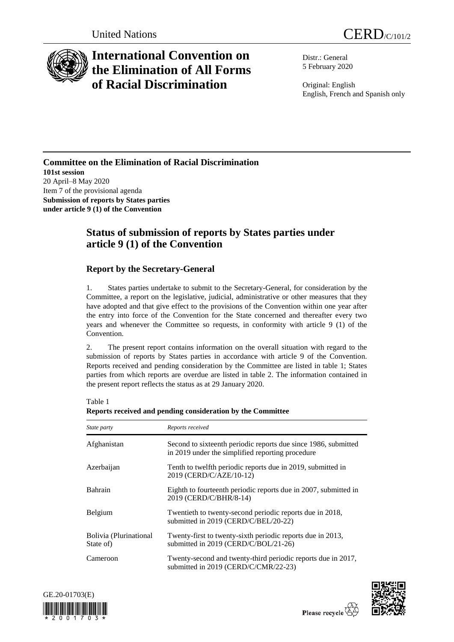

# **International Convention on the Elimination of All Forms of Racial Discrimination**

Distr.: General 5 February 2020

Original: English English, French and Spanish only

### **Committee on the Elimination of Racial Discrimination 101st session** 20 April–8 May 2020 Item 7 of the provisional agenda **Submission of reports by States parties under article 9 (1) of the Convention**

## **Status of submission of reports by States parties under article 9 (1) of the Convention**

### **Report by the Secretary-General**

1. States parties undertake to submit to the Secretary-General, for consideration by the Committee, a report on the legislative, judicial, administrative or other measures that they have adopted and that give effect to the provisions of the Convention within one year after the entry into force of the Convention for the State concerned and thereafter every two years and whenever the Committee so requests, in conformity with article 9 (1) of the Convention.

2. The present report contains information on the overall situation with regard to the submission of reports by States parties in accordance with article 9 of the Convention. Reports received and pending consideration by the Committee are listed in table 1; States parties from which reports are overdue are listed in table 2. The information contained in the present report reflects the status as at 29 January 2020.

| State party                         | Reports received                                                                                                   |
|-------------------------------------|--------------------------------------------------------------------------------------------------------------------|
| Afghanistan                         | Second to sixteenth periodic reports due since 1986, submitted<br>in 2019 under the simplified reporting procedure |
| Azerbaijan                          | Tenth to twelfth periodic reports due in 2019, submitted in<br>2019 (CERD/C/AZE/10-12)                             |
| Bahrain                             | Eighth to fourteenth periodic reports due in 2007, submitted in<br>2019 (CERD/C/BHR/8-14)                          |
| Belgium                             | Twentieth to twenty-second periodic reports due in 2018,<br>submitted in 2019 (CERD/C/BEL/20-22)                   |
| Bolivia (Plurinational<br>State of) | Twenty-first to twenty-sixth periodic reports due in 2013,<br>submitted in 2019 (CERD/C/BOL/21-26)                 |
| Cameroon                            | Twenty-second and twenty-third periodic reports due in 2017,<br>submitted in 2019 (CERD/C/CMR/22-23)               |

Table 1



**Reports received and pending consideration by the Committee**

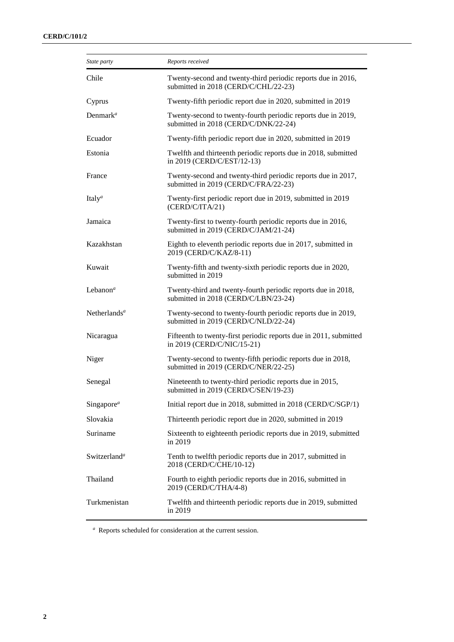| State party                       | Reports received                                                                                     |  |
|-----------------------------------|------------------------------------------------------------------------------------------------------|--|
| Chile                             | Twenty-second and twenty-third periodic reports due in 2016,<br>submitted in 2018 (CERD/C/CHL/22-23) |  |
| Cyprus                            | Twenty-fifth periodic report due in 2020, submitted in 2019                                          |  |
| Denmark <sup>a</sup>              | Twenty-second to twenty-fourth periodic reports due in 2019,<br>submitted in 2018 (CERD/C/DNK/22-24) |  |
| Ecuador                           | Twenty-fifth periodic report due in 2020, submitted in 2019                                          |  |
| Estonia                           | Twelfth and thirteenth periodic reports due in 2018, submitted<br>in 2019 (CERD/C/EST/12-13)         |  |
| France                            | Twenty-second and twenty-third periodic reports due in 2017,<br>submitted in 2019 (CERD/C/FRA/22-23) |  |
| Italy <sup><math>a</math></sup>   | Twenty-first periodic report due in 2019, submitted in 2019<br>(CERD/C/ITA/21)                       |  |
| Jamaica                           | Twenty-first to twenty-fourth periodic reports due in 2016,<br>submitted in 2019 (CERD/C/JAM/21-24)  |  |
| Kazakhstan                        | Eighth to eleventh periodic reports due in 2017, submitted in<br>2019 (CERD/C/KAZ/8-11)              |  |
| Kuwait                            | Twenty-fifth and twenty-sixth periodic reports due in 2020,<br>submitted in 2019                     |  |
| Lebanon <sup><math>a</math></sup> | Twenty-third and twenty-fourth periodic reports due in 2018,<br>submitted in 2018 (CERD/C/LBN/23-24) |  |
| Netherlands <sup>a</sup>          | Twenty-second to twenty-fourth periodic reports due in 2019,<br>submitted in 2019 (CERD/C/NLD/22-24) |  |
| Nicaragua                         | Fifteenth to twenty-first periodic reports due in 2011, submitted<br>in 2019 (CERD/C/NIC/15-21)      |  |
| Niger                             | Twenty-second to twenty-fifth periodic reports due in 2018,<br>submitted in 2019 (CERD/C/NER/22-25)  |  |
| Senegal                           | Nineteenth to twenty-third periodic reports due in 2015,<br>submitted in 2019 (CERD/C/SEN/19-23)     |  |
| Singapore <sup>a</sup>            | Initial report due in 2018, submitted in 2018 (CERD/C/SGP/1)                                         |  |
| Slovakia                          | Thirteenth periodic report due in 2020, submitted in 2019                                            |  |
| Suriname                          | Sixteenth to eighteenth periodic reports due in 2019, submitted<br>in 2019                           |  |
| Switzerland <sup>a</sup>          | Tenth to twelfth periodic reports due in 2017, submitted in<br>2018 (CERD/C/CHE/10-12)               |  |
| Thailand                          | Fourth to eighth periodic reports due in 2016, submitted in<br>2019 (CERD/C/THA/4-8)                 |  |
| Turkmenistan                      | Twelfth and thirteenth periodic reports due in 2019, submitted<br>in 2019                            |  |

*<sup>a</sup>* Reports scheduled for consideration at the current session.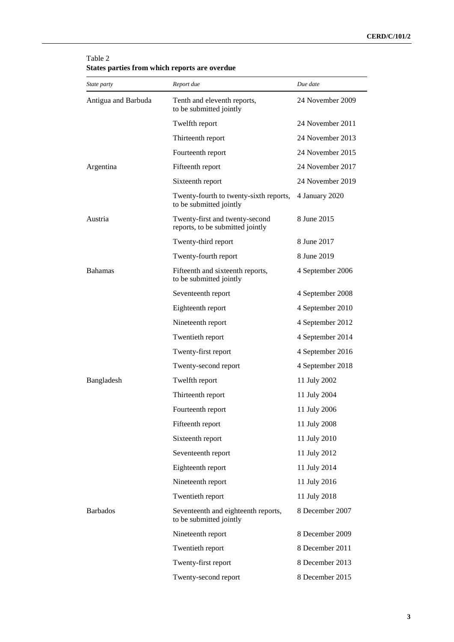#### Table 2 **States parties from which reports are overdue**

| State party         | Report due                                                         | Due date         |
|---------------------|--------------------------------------------------------------------|------------------|
| Antigua and Barbuda | Tenth and eleventh reports,<br>to be submitted jointly             | 24 November 2009 |
|                     | Twelfth report                                                     | 24 November 2011 |
|                     | Thirteenth report                                                  | 24 November 2013 |
|                     | Fourteenth report                                                  | 24 November 2015 |
| Argentina           | Fifteenth report                                                   | 24 November 2017 |
|                     | Sixteenth report                                                   | 24 November 2019 |
|                     | Twenty-fourth to twenty-sixth reports,<br>to be submitted jointly  | 4 January 2020   |
| Austria             | Twenty-first and twenty-second<br>reports, to be submitted jointly | 8 June 2015      |
|                     | Twenty-third report                                                | 8 June 2017      |
|                     | Twenty-fourth report                                               | 8 June 2019      |
| Bahamas             | Fifteenth and sixteenth reports,<br>to be submitted jointly        | 4 September 2006 |
|                     | Seventeenth report                                                 | 4 September 2008 |
|                     | Eighteenth report                                                  | 4 September 2010 |
|                     | Nineteenth report                                                  | 4 September 2012 |
|                     | Twentieth report                                                   | 4 September 2014 |
|                     | Twenty-first report                                                | 4 September 2016 |
|                     | Twenty-second report                                               | 4 September 2018 |
| Bangladesh          | Twelfth report                                                     | 11 July 2002     |
|                     | Thirteenth report                                                  | 11 July 2004     |
|                     | Fourteenth report                                                  | 11 July 2006     |
|                     | Fifteenth report                                                   | 11 July 2008     |
|                     | Sixteenth report                                                   | 11 July 2010     |
|                     | Seventeenth report                                                 | 11 July 2012     |
|                     | Eighteenth report                                                  | 11 July 2014     |
|                     | Nineteenth report                                                  | 11 July 2016     |
|                     | Twentieth report                                                   | 11 July 2018     |
| <b>Barbados</b>     | Seventeenth and eighteenth reports,<br>to be submitted jointly     | 8 December 2007  |
|                     | Nineteenth report                                                  | 8 December 2009  |
|                     | Twentieth report                                                   | 8 December 2011  |
|                     | Twenty-first report                                                | 8 December 2013  |
|                     | Twenty-second report                                               | 8 December 2015  |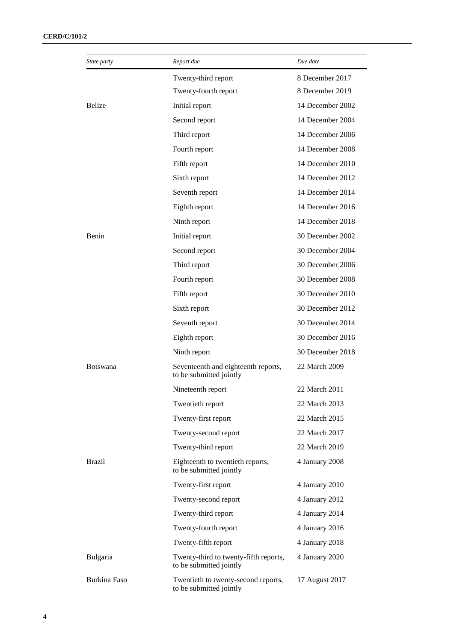| <i>State party</i> | Report due                                                       | Due date         |
|--------------------|------------------------------------------------------------------|------------------|
|                    | Twenty-third report                                              | 8 December 2017  |
|                    | Twenty-fourth report                                             | 8 December 2019  |
| <b>Belize</b>      | Initial report                                                   | 14 December 2002 |
|                    | Second report                                                    | 14 December 2004 |
|                    | Third report                                                     | 14 December 2006 |
|                    | Fourth report                                                    | 14 December 2008 |
|                    | Fifth report                                                     | 14 December 2010 |
|                    | Sixth report                                                     | 14 December 2012 |
|                    | Seventh report                                                   | 14 December 2014 |
|                    | Eighth report                                                    | 14 December 2016 |
|                    | Ninth report                                                     | 14 December 2018 |
| Benin              | Initial report                                                   | 30 December 2002 |
|                    | Second report                                                    | 30 December 2004 |
|                    | Third report                                                     | 30 December 2006 |
|                    | Fourth report                                                    | 30 December 2008 |
|                    | Fifth report                                                     | 30 December 2010 |
|                    | Sixth report                                                     | 30 December 2012 |
|                    | Seventh report                                                   | 30 December 2014 |
|                    | Eighth report                                                    | 30 December 2016 |
|                    | Ninth report                                                     | 30 December 2018 |
| <b>Botswana</b>    | Seventeenth and eighteenth reports,<br>to be submitted jointly   | 22 March 2009    |
|                    | Nineteenth report                                                | 22 March 2011    |
|                    | Twentieth report                                                 | 22 March 2013    |
|                    | Twenty-first report                                              | 22 March 2015    |
|                    | Twenty-second report                                             | 22 March 2017    |
|                    | Twenty-third report                                              | 22 March 2019    |
| <b>Brazil</b>      | Eighteenth to twentieth reports,<br>to be submitted jointly      | 4 January 2008   |
|                    | Twenty-first report                                              | 4 January 2010   |
|                    | Twenty-second report                                             | 4 January 2012   |
|                    | Twenty-third report                                              | 4 January 2014   |
|                    | Twenty-fourth report                                             | 4 January 2016   |
|                    | Twenty-fifth report                                              | 4 January 2018   |
| Bulgaria           | Twenty-third to twenty-fifth reports,<br>to be submitted jointly | 4 January 2020   |
| Burkina Faso       | Twentieth to twenty-second reports,<br>to be submitted jointly   | 17 August 2017   |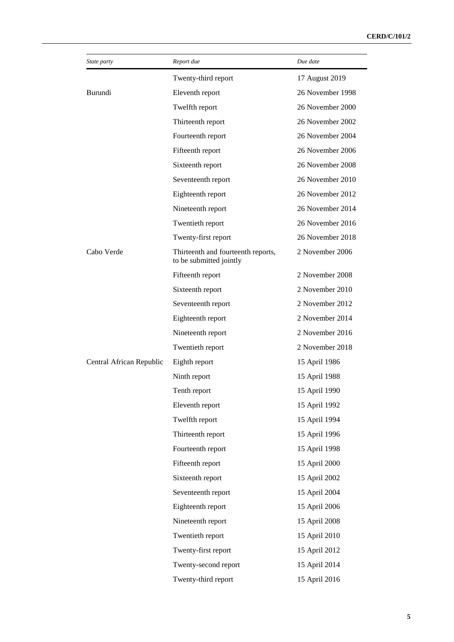| <i>State party</i>       | Report due                                                    | Due date         |
|--------------------------|---------------------------------------------------------------|------------------|
|                          | Twenty-third report                                           | 17 August 2019   |
| Burundi                  | Eleventh report                                               | 26 November 1998 |
|                          | Twelfth report                                                | 26 November 2000 |
|                          | Thirteenth report                                             | 26 November 2002 |
|                          | Fourteenth report                                             | 26 November 2004 |
|                          | Fifteenth report                                              | 26 November 2006 |
|                          | Sixteenth report                                              | 26 November 2008 |
|                          | Seventeenth report                                            | 26 November 2010 |
|                          | Eighteenth report                                             | 26 November 2012 |
|                          | Nineteenth report                                             | 26 November 2014 |
|                          | Twentieth report                                              | 26 November 2016 |
|                          | Twenty-first report                                           | 26 November 2018 |
| Cabo Verde               | Thirteenth and fourteenth reports,<br>to be submitted jointly | 2 November 2006  |
|                          | Fifteenth report                                              | 2 November 2008  |
|                          | Sixteenth report                                              | 2 November 2010  |
|                          | Seventeenth report                                            | 2 November 2012  |
|                          | Eighteenth report                                             | 2 November 2014  |
|                          | Nineteenth report                                             | 2 November 2016  |
|                          | Twentieth report                                              | 2 November 2018  |
| Central African Republic | Eighth report                                                 | 15 April 1986    |
|                          | Ninth report                                                  | 15 April 1988    |
|                          | Tenth report                                                  | 15 April 1990    |
|                          | Eleventh report                                               | 15 April 1992    |
|                          | Twelfth report                                                | 15 April 1994    |
|                          | Thirteenth report                                             | 15 April 1996    |
|                          | Fourteenth report                                             | 15 April 1998    |
|                          | Fifteenth report                                              | 15 April 2000    |
|                          | Sixteenth report                                              | 15 April 2002    |
|                          | Seventeenth report                                            | 15 April 2004    |
|                          | Eighteenth report                                             | 15 April 2006    |
|                          | Nineteenth report                                             | 15 April 2008    |
|                          | Twentieth report                                              | 15 April 2010    |
|                          | Twenty-first report                                           | 15 April 2012    |
|                          | Twenty-second report                                          | 15 April 2014    |
|                          | Twenty-third report                                           | 15 April 2016    |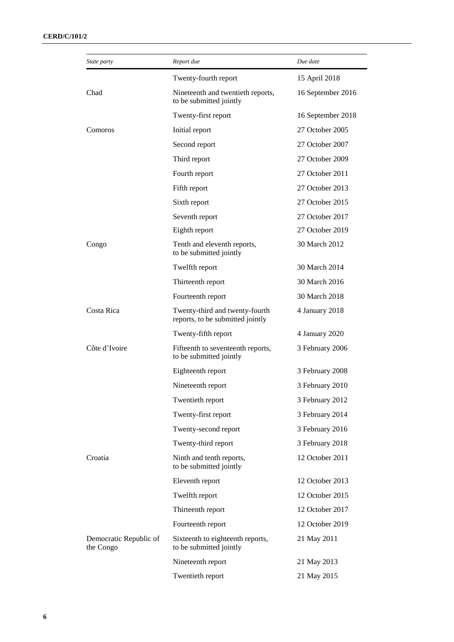| State party                         | Report due                                                         | Due date          |
|-------------------------------------|--------------------------------------------------------------------|-------------------|
|                                     | Twenty-fourth report                                               | 15 April 2018     |
| Chad                                | Nineteenth and twentieth reports,<br>to be submitted jointly       | 16 September 2016 |
|                                     | Twenty-first report                                                | 16 September 2018 |
| Comoros                             | Initial report                                                     | 27 October 2005   |
|                                     | Second report                                                      | 27 October 2007   |
|                                     | Third report                                                       | 27 October 2009   |
|                                     | Fourth report                                                      | 27 October 2011   |
|                                     | Fifth report                                                       | 27 October 2013   |
|                                     | Sixth report                                                       | 27 October 2015   |
|                                     | Seventh report                                                     | 27 October 2017   |
|                                     | Eighth report                                                      | 27 October 2019   |
| Congo                               | Tenth and eleventh reports,<br>to be submitted jointly             | 30 March 2012     |
|                                     | Twelfth report                                                     | 30 March 2014     |
|                                     | Thirteenth report                                                  | 30 March 2016     |
|                                     | Fourteenth report                                                  | 30 March 2018     |
| Costa Rica                          | Twenty-third and twenty-fourth<br>reports, to be submitted jointly | 4 January 2018    |
|                                     | Twenty-fifth report                                                | 4 January 2020    |
| Côte d'Ivoire                       | Fifteenth to seventeenth reports,<br>to be submitted jointly       | 3 February 2006   |
|                                     | Eighteenth report                                                  | 3 February 2008   |
|                                     | Nineteenth report                                                  | 3 February 2010   |
|                                     | Twentieth report                                                   | 3 February 2012   |
|                                     | Twenty-first report                                                | 3 February 2014   |
|                                     | Twenty-second report                                               | 3 February 2016   |
|                                     | Twenty-third report                                                | 3 February 2018   |
| Croatia                             | Ninth and tenth reports,<br>to be submitted jointly                | 12 October 2011   |
|                                     | Eleventh report                                                    | 12 October 2013   |
|                                     | Twelfth report                                                     | 12 October 2015   |
|                                     | Thirteenth report                                                  | 12 October 2017   |
|                                     | Fourteenth report                                                  | 12 October 2019   |
| Democratic Republic of<br>the Congo | Sixteenth to eighteenth reports,<br>to be submitted jointly        | 21 May 2011       |
|                                     | Nineteenth report                                                  | 21 May 2013       |
|                                     | Twentieth report                                                   | 21 May 2015       |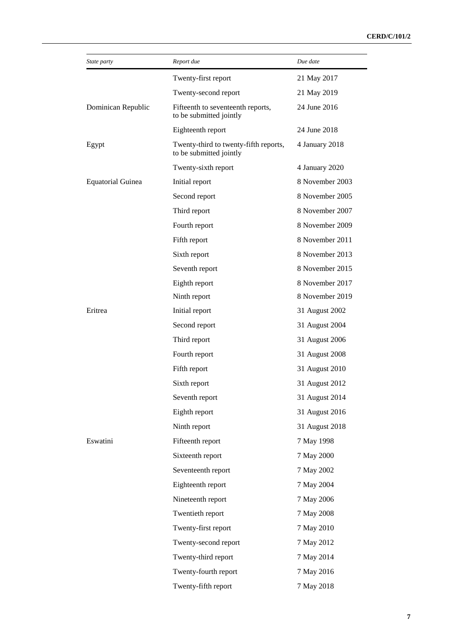| State party              | Report due                                                       | Due date        |
|--------------------------|------------------------------------------------------------------|-----------------|
|                          | Twenty-first report                                              | 21 May 2017     |
|                          | Twenty-second report                                             | 21 May 2019     |
| Dominican Republic       | Fifteenth to seventeenth reports,<br>to be submitted jointly     | 24 June 2016    |
|                          | Eighteenth report                                                | 24 June 2018    |
| Egypt                    | Twenty-third to twenty-fifth reports,<br>to be submitted jointly | 4 January 2018  |
|                          | Twenty-sixth report                                              | 4 January 2020  |
| <b>Equatorial Guinea</b> | Initial report                                                   | 8 November 2003 |
|                          | Second report                                                    | 8 November 2005 |
|                          | Third report                                                     | 8 November 2007 |
|                          | Fourth report                                                    | 8 November 2009 |
|                          | Fifth report                                                     | 8 November 2011 |
|                          | Sixth report                                                     | 8 November 2013 |
|                          | Seventh report                                                   | 8 November 2015 |
|                          | Eighth report                                                    | 8 November 2017 |
|                          | Ninth report                                                     | 8 November 2019 |
| Eritrea                  | Initial report                                                   | 31 August 2002  |
|                          | Second report                                                    | 31 August 2004  |
|                          | Third report                                                     | 31 August 2006  |
|                          | Fourth report                                                    | 31 August 2008  |
|                          | Fifth report                                                     | 31 August 2010  |
|                          | Sixth report                                                     | 31 August 2012  |
|                          | Seventh report                                                   | 31 August 2014  |
|                          | Eighth report                                                    | 31 August 2016  |
|                          | Ninth report                                                     | 31 August 2018  |
| Eswatini                 | Fifteenth report                                                 | 7 May 1998      |
|                          | Sixteenth report                                                 | 7 May 2000      |
|                          | Seventeenth report                                               | 7 May 2002      |
|                          | Eighteenth report                                                | 7 May 2004      |
|                          | Nineteenth report                                                | 7 May 2006      |
|                          | Twentieth report                                                 | 7 May 2008      |
|                          | Twenty-first report                                              | 7 May 2010      |
|                          | Twenty-second report                                             | 7 May 2012      |
|                          | Twenty-third report                                              | 7 May 2014      |
|                          | Twenty-fourth report                                             | 7 May 2016      |
|                          | Twenty-fifth report                                              | 7 May 2018      |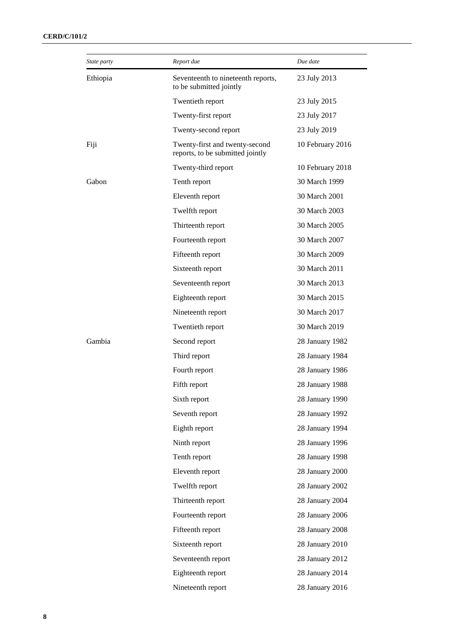| State party | Report due                                                         | Due date         |
|-------------|--------------------------------------------------------------------|------------------|
| Ethiopia    | Seventeenth to nineteenth reports,<br>to be submitted jointly      | 23 July 2013     |
|             | Twentieth report                                                   | 23 July 2015     |
|             | Twenty-first report                                                | 23 July 2017     |
|             | Twenty-second report                                               | 23 July 2019     |
| Fiji        | Twenty-first and twenty-second<br>reports, to be submitted jointly | 10 February 2016 |
|             | Twenty-third report                                                | 10 February 2018 |
| Gabon       | Tenth report                                                       | 30 March 1999    |
|             | Eleventh report                                                    | 30 March 2001    |
|             | Twelfth report                                                     | 30 March 2003    |
|             | Thirteenth report                                                  | 30 March 2005    |
|             | Fourteenth report                                                  | 30 March 2007    |
|             | Fifteenth report                                                   | 30 March 2009    |
|             | Sixteenth report                                                   | 30 March 2011    |
|             | Seventeenth report                                                 | 30 March 2013    |
|             | Eighteenth report                                                  | 30 March 2015    |
|             | Nineteenth report                                                  | 30 March 2017    |
|             | Twentieth report                                                   | 30 March 2019    |
| Gambia      | Second report                                                      | 28 January 1982  |
|             | Third report                                                       | 28 January 1984  |
|             | Fourth report                                                      | 28 January 1986  |
|             | Fifth report                                                       | 28 January 1988  |
|             | Sixth report                                                       | 28 January 1990  |
|             | Seventh report                                                     | 28 January 1992  |
|             | Eighth report                                                      | 28 January 1994  |
|             | Ninth report                                                       | 28 January 1996  |
|             | Tenth report                                                       | 28 January 1998  |
|             | Eleventh report                                                    | 28 January 2000  |
|             | Twelfth report                                                     | 28 January 2002  |
|             | Thirteenth report                                                  | 28 January 2004  |
|             | Fourteenth report                                                  | 28 January 2006  |
|             | Fifteenth report                                                   | 28 January 2008  |
|             | Sixteenth report                                                   | 28 January 2010  |
|             | Seventeenth report                                                 | 28 January 2012  |
|             | Eighteenth report                                                  | 28 January 2014  |
|             | Nineteenth report                                                  | 28 January 2016  |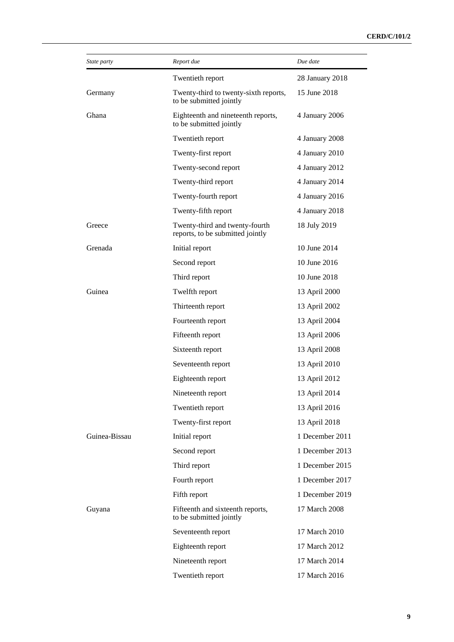| State party   | Report due                                                         | Due date        |
|---------------|--------------------------------------------------------------------|-----------------|
|               | Twentieth report                                                   | 28 January 2018 |
| Germany       | Twenty-third to twenty-sixth reports,<br>to be submitted jointly   | 15 June 2018    |
| Ghana         | Eighteenth and nineteenth reports,<br>to be submitted jointly      | 4 January 2006  |
|               | Twentieth report                                                   | 4 January 2008  |
|               | Twenty-first report                                                | 4 January 2010  |
|               | Twenty-second report                                               | 4 January 2012  |
|               | Twenty-third report                                                | 4 January 2014  |
|               | Twenty-fourth report                                               | 4 January 2016  |
|               | Twenty-fifth report                                                | 4 January 2018  |
| Greece        | Twenty-third and twenty-fourth<br>reports, to be submitted jointly | 18 July 2019    |
| Grenada       | Initial report                                                     | 10 June 2014    |
|               | Second report                                                      | 10 June 2016    |
|               | Third report                                                       | 10 June 2018    |
| Guinea        | Twelfth report                                                     | 13 April 2000   |
|               | Thirteenth report                                                  | 13 April 2002   |
|               | Fourteenth report                                                  | 13 April 2004   |
|               | Fifteenth report                                                   | 13 April 2006   |
|               | Sixteenth report                                                   | 13 April 2008   |
|               | Seventeenth report                                                 | 13 April 2010   |
|               | Eighteenth report                                                  | 13 April 2012   |
|               | Nineteenth report                                                  | 13 April 2014   |
|               | Twentieth report                                                   | 13 April 2016   |
|               | Twenty-first report                                                | 13 April 2018   |
| Guinea-Bissau | Initial report                                                     | 1 December 2011 |
|               | Second report                                                      | 1 December 2013 |
|               | Third report                                                       | 1 December 2015 |
|               | Fourth report                                                      | 1 December 2017 |
|               | Fifth report                                                       | 1 December 2019 |
| Guyana        | Fifteenth and sixteenth reports,<br>to be submitted jointly        | 17 March 2008   |
|               | Seventeenth report                                                 | 17 March 2010   |
|               | Eighteenth report                                                  | 17 March 2012   |
|               | Nineteenth report                                                  | 17 March 2014   |
|               | Twentieth report                                                   | 17 March 2016   |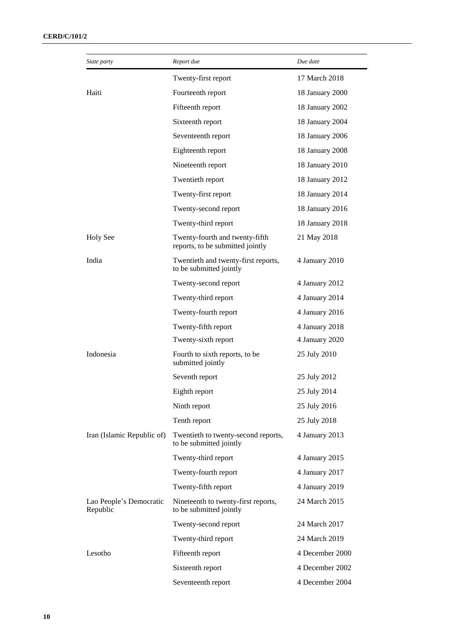| State party                         | Report due                                                         | Due date        |
|-------------------------------------|--------------------------------------------------------------------|-----------------|
|                                     | Twenty-first report                                                | 17 March 2018   |
| Haiti                               | Fourteenth report                                                  | 18 January 2000 |
|                                     | Fifteenth report                                                   | 18 January 2002 |
|                                     | Sixteenth report                                                   | 18 January 2004 |
|                                     | Seventeenth report                                                 | 18 January 2006 |
|                                     | Eighteenth report                                                  | 18 January 2008 |
|                                     | Nineteenth report                                                  | 18 January 2010 |
|                                     | Twentieth report                                                   | 18 January 2012 |
|                                     | Twenty-first report                                                | 18 January 2014 |
|                                     | Twenty-second report                                               | 18 January 2016 |
|                                     | Twenty-third report                                                | 18 January 2018 |
| <b>Holy See</b>                     | Twenty-fourth and twenty-fifth<br>reports, to be submitted jointly | 21 May 2018     |
| India                               | Twentieth and twenty-first reports,<br>to be submitted jointly     | 4 January 2010  |
|                                     | Twenty-second report                                               | 4 January 2012  |
|                                     | Twenty-third report                                                | 4 January 2014  |
|                                     | Twenty-fourth report                                               | 4 January 2016  |
|                                     | Twenty-fifth report                                                | 4 January 2018  |
|                                     | Twenty-sixth report                                                | 4 January 2020  |
| Indonesia                           | Fourth to sixth reports, to be<br>submitted jointly                | 25 July 2010    |
|                                     | Seventh report                                                     | 25 July 2012    |
|                                     | Eighth report                                                      | 25 July 2014    |
|                                     | Ninth report                                                       | 25 July 2016    |
|                                     | Tenth report                                                       | 25 July 2018    |
| Iran (Islamic Republic of)          | Twentieth to twenty-second reports,<br>to be submitted jointly     | 4 January 2013  |
|                                     | Twenty-third report                                                | 4 January 2015  |
|                                     | Twenty-fourth report                                               | 4 January 2017  |
|                                     | Twenty-fifth report                                                | 4 January 2019  |
| Lao People's Democratic<br>Republic | Nineteenth to twenty-first reports,<br>to be submitted jointly     | 24 March 2015   |
|                                     | Twenty-second report                                               | 24 March 2017   |
|                                     | Twenty-third report                                                | 24 March 2019   |
| Lesotho                             | Fifteenth report                                                   | 4 December 2000 |
|                                     | Sixteenth report                                                   | 4 December 2002 |
|                                     | Seventeenth report                                                 | 4 December 2004 |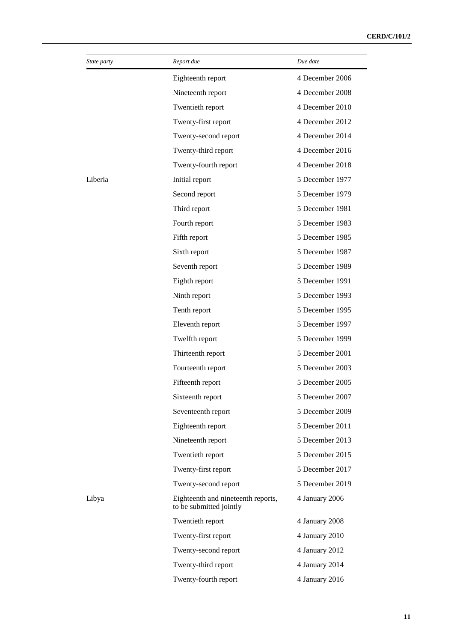| State party | Report due                                                    | Due date        |
|-------------|---------------------------------------------------------------|-----------------|
|             | Eighteenth report                                             | 4 December 2006 |
|             | Nineteenth report                                             | 4 December 2008 |
|             | Twentieth report                                              | 4 December 2010 |
|             | Twenty-first report                                           | 4 December 2012 |
|             | Twenty-second report                                          | 4 December 2014 |
|             | Twenty-third report                                           | 4 December 2016 |
|             | Twenty-fourth report                                          | 4 December 2018 |
| Liberia     | Initial report                                                | 5 December 1977 |
|             | Second report                                                 | 5 December 1979 |
|             | Third report                                                  | 5 December 1981 |
|             | Fourth report                                                 | 5 December 1983 |
|             | Fifth report                                                  | 5 December 1985 |
|             | Sixth report                                                  | 5 December 1987 |
|             | Seventh report                                                | 5 December 1989 |
|             | Eighth report                                                 | 5 December 1991 |
|             | Ninth report                                                  | 5 December 1993 |
|             | Tenth report                                                  | 5 December 1995 |
|             | Eleventh report                                               | 5 December 1997 |
|             | Twelfth report                                                | 5 December 1999 |
|             | Thirteenth report                                             | 5 December 2001 |
|             | Fourteenth report                                             | 5 December 2003 |
|             | Fifteenth report                                              | 5 December 2005 |
|             | Sixteenth report                                              | 5 December 2007 |
|             | Seventeenth report                                            | 5 December 2009 |
|             | Eighteenth report                                             | 5 December 2011 |
|             | Nineteenth report                                             | 5 December 2013 |
|             | Twentieth report                                              | 5 December 2015 |
|             | Twenty-first report                                           | 5 December 2017 |
|             | Twenty-second report                                          | 5 December 2019 |
| Libya       | Eighteenth and nineteenth reports,<br>to be submitted jointly | 4 January 2006  |
|             | Twentieth report                                              | 4 January 2008  |
|             | Twenty-first report                                           | 4 January 2010  |
|             | Twenty-second report                                          | 4 January 2012  |
|             | Twenty-third report                                           | 4 January 2014  |
|             | Twenty-fourth report                                          | 4 January 2016  |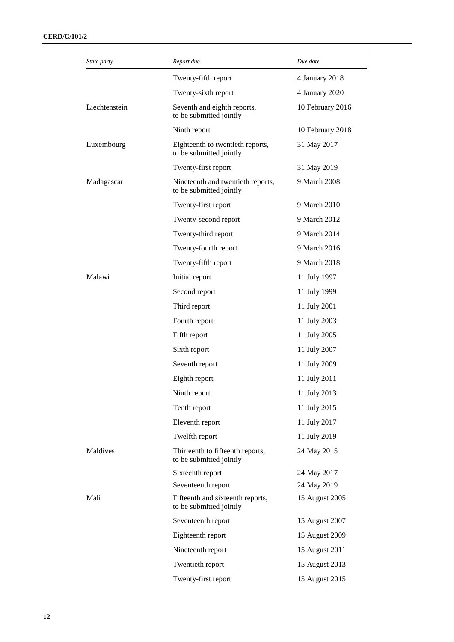| State party   | Report due                                                   | Due date         |
|---------------|--------------------------------------------------------------|------------------|
|               | Twenty-fifth report                                          | 4 January 2018   |
|               | Twenty-sixth report                                          | 4 January 2020   |
| Liechtenstein | Seventh and eighth reports,<br>to be submitted jointly       | 10 February 2016 |
|               | Ninth report                                                 | 10 February 2018 |
| Luxembourg    | Eighteenth to twentieth reports,<br>to be submitted jointly  | 31 May 2017      |
|               | Twenty-first report                                          | 31 May 2019      |
| Madagascar    | Nineteenth and twentieth reports,<br>to be submitted jointly | 9 March 2008     |
|               | Twenty-first report                                          | 9 March 2010     |
|               | Twenty-second report                                         | 9 March 2012     |
|               | Twenty-third report                                          | 9 March 2014     |
|               | Twenty-fourth report                                         | 9 March 2016     |
|               | Twenty-fifth report                                          | 9 March 2018     |
| Malawi        | Initial report                                               | 11 July 1997     |
|               | Second report                                                | 11 July 1999     |
|               | Third report                                                 | 11 July 2001     |
|               | Fourth report                                                | 11 July 2003     |
|               | Fifth report                                                 | 11 July 2005     |
|               | Sixth report                                                 | 11 July 2007     |
|               | Seventh report                                               | 11 July 2009     |
|               | Eighth report                                                | 11 July 2011     |
|               | Ninth report                                                 | 11 July 2013     |
|               | Tenth report                                                 | 11 July 2015     |
|               | Eleventh report                                              | 11 July 2017     |
|               | Twelfth report                                               | 11 July 2019     |
| Maldives      | Thirteenth to fifteenth reports,<br>to be submitted jointly  | 24 May 2015      |
|               | Sixteenth report                                             | 24 May 2017      |
|               | Seventeenth report                                           | 24 May 2019      |
| Mali          | Fifteenth and sixteenth reports,<br>to be submitted jointly  | 15 August 2005   |
|               | Seventeenth report                                           | 15 August 2007   |
|               | Eighteenth report                                            | 15 August 2009   |
|               | Nineteenth report                                            | 15 August 2011   |
|               | Twentieth report                                             | 15 August 2013   |
|               | Twenty-first report                                          | 15 August 2015   |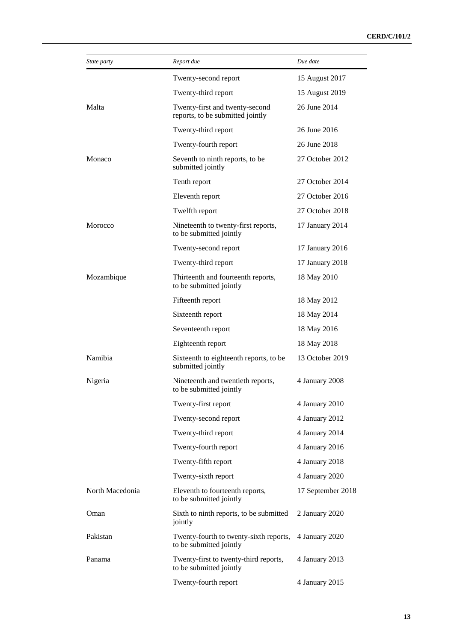| State party     | Report due                                                         | Due date          |
|-----------------|--------------------------------------------------------------------|-------------------|
|                 | Twenty-second report                                               | 15 August 2017    |
|                 | Twenty-third report                                                | 15 August 2019    |
| Malta           | Twenty-first and twenty-second<br>reports, to be submitted jointly | 26 June 2014      |
|                 | Twenty-third report                                                | 26 June 2016      |
|                 | Twenty-fourth report                                               | 26 June 2018      |
| Monaco          | Seventh to ninth reports, to be<br>submitted jointly               | 27 October 2012   |
|                 | Tenth report                                                       | 27 October 2014   |
|                 | Eleventh report                                                    | 27 October 2016   |
|                 | Twelfth report                                                     | 27 October 2018   |
| Morocco         | Nineteenth to twenty-first reports,<br>to be submitted jointly     | 17 January 2014   |
|                 | Twenty-second report                                               | 17 January 2016   |
|                 | Twenty-third report                                                | 17 January 2018   |
| Mozambique      | Thirteenth and fourteenth reports,<br>to be submitted jointly      | 18 May 2010       |
|                 | Fifteenth report                                                   | 18 May 2012       |
|                 | Sixteenth report                                                   | 18 May 2014       |
|                 | Seventeenth report                                                 | 18 May 2016       |
|                 | Eighteenth report                                                  | 18 May 2018       |
| Namibia         | Sixteenth to eighteenth reports, to be<br>submitted jointly        | 13 October 2019   |
| Nigeria         | Nineteenth and twentieth reports,<br>to be submitted jointly       | 4 January 2008    |
|                 | Twenty-first report                                                | 4 January 2010    |
|                 | Twenty-second report                                               | 4 January 2012    |
|                 | Twenty-third report                                                | 4 January 2014    |
|                 | Twenty-fourth report                                               | 4 January 2016    |
|                 | Twenty-fifth report                                                | 4 January 2018    |
|                 | Twenty-sixth report                                                | 4 January 2020    |
| North Macedonia | Eleventh to fourteenth reports,<br>to be submitted jointly         | 17 September 2018 |
| Oman            | Sixth to ninth reports, to be submitted<br>jointly                 | 2 January 2020    |
| Pakistan        | Twenty-fourth to twenty-sixth reports,<br>to be submitted jointly  | 4 January 2020    |
| Panama          | Twenty-first to twenty-third reports,<br>to be submitted jointly   | 4 January 2013    |
|                 | Twenty-fourth report                                               | 4 January 2015    |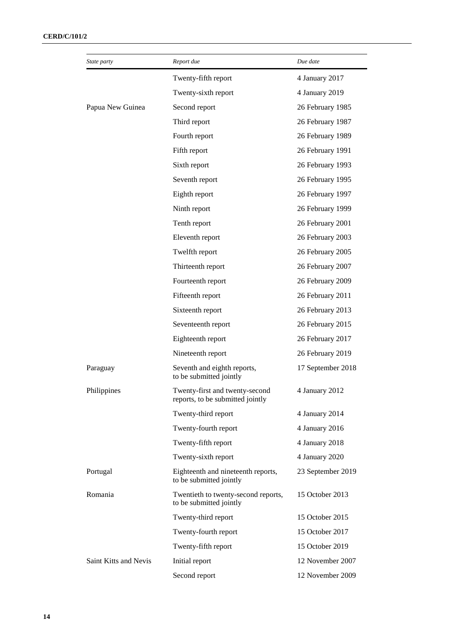| State party           | Report due                                                         | Due date          |
|-----------------------|--------------------------------------------------------------------|-------------------|
|                       | Twenty-fifth report                                                | 4 January 2017    |
|                       | Twenty-sixth report                                                | 4 January 2019    |
| Papua New Guinea      | Second report                                                      | 26 February 1985  |
|                       | Third report                                                       | 26 February 1987  |
|                       | Fourth report                                                      | 26 February 1989  |
|                       | Fifth report                                                       | 26 February 1991  |
|                       | Sixth report                                                       | 26 February 1993  |
|                       | Seventh report                                                     | 26 February 1995  |
|                       | Eighth report                                                      | 26 February 1997  |
|                       | Ninth report                                                       | 26 February 1999  |
|                       | Tenth report                                                       | 26 February 2001  |
|                       | Eleventh report                                                    | 26 February 2003  |
|                       | Twelfth report                                                     | 26 February 2005  |
|                       | Thirteenth report                                                  | 26 February 2007  |
|                       | Fourteenth report                                                  | 26 February 2009  |
|                       | Fifteenth report                                                   | 26 February 2011  |
|                       | Sixteenth report                                                   | 26 February 2013  |
|                       | Seventeenth report                                                 | 26 February 2015  |
|                       | Eighteenth report                                                  | 26 February 2017  |
|                       | Nineteenth report                                                  | 26 February 2019  |
| Paraguay              | Seventh and eighth reports,<br>to be submitted jointly             | 17 September 2018 |
| Philippines           | Twenty-first and twenty-second<br>reports, to be submitted jointly | 4 January 2012    |
|                       | Twenty-third report                                                | 4 January 2014    |
|                       | Twenty-fourth report                                               | 4 January 2016    |
|                       | Twenty-fifth report                                                | 4 January 2018    |
|                       | Twenty-sixth report                                                | 4 January 2020    |
| Portugal              | Eighteenth and nineteenth reports,<br>to be submitted jointly      | 23 September 2019 |
| Romania               | Twentieth to twenty-second reports,<br>to be submitted jointly     | 15 October 2013   |
|                       | Twenty-third report                                                | 15 October 2015   |
|                       | Twenty-fourth report                                               | 15 October 2017   |
|                       | Twenty-fifth report                                                | 15 October 2019   |
| Saint Kitts and Nevis | Initial report                                                     | 12 November 2007  |
|                       | Second report                                                      | 12 November 2009  |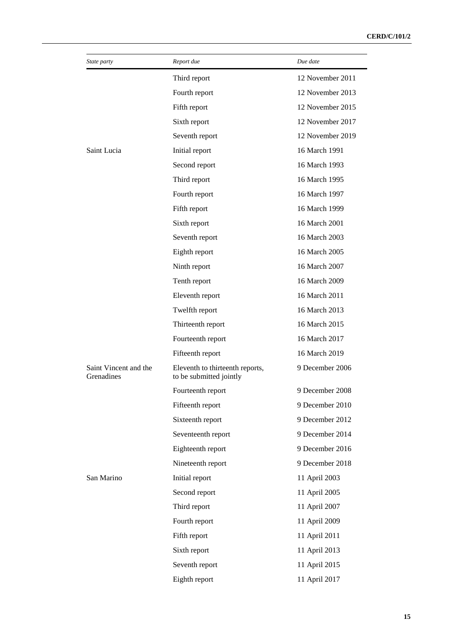| <i>State party</i>                  | Report due                                                 | Due date         |
|-------------------------------------|------------------------------------------------------------|------------------|
|                                     | Third report                                               | 12 November 2011 |
|                                     | Fourth report                                              | 12 November 2013 |
|                                     | Fifth report                                               | 12 November 2015 |
|                                     | Sixth report                                               | 12 November 2017 |
|                                     | Seventh report                                             | 12 November 2019 |
| Saint Lucia                         | Initial report                                             | 16 March 1991    |
|                                     | Second report                                              | 16 March 1993    |
|                                     | Third report                                               | 16 March 1995    |
|                                     | Fourth report                                              | 16 March 1997    |
|                                     | Fifth report                                               | 16 March 1999    |
|                                     | Sixth report                                               | 16 March 2001    |
|                                     | Seventh report                                             | 16 March 2003    |
|                                     | Eighth report                                              | 16 March 2005    |
|                                     | Ninth report                                               | 16 March 2007    |
|                                     | Tenth report                                               | 16 March 2009    |
|                                     | Eleventh report                                            | 16 March 2011    |
|                                     | Twelfth report                                             | 16 March 2013    |
|                                     | Thirteenth report                                          | 16 March 2015    |
|                                     | Fourteenth report                                          | 16 March 2017    |
|                                     | Fifteenth report                                           | 16 March 2019    |
| Saint Vincent and the<br>Grenadines | Eleventh to thirteenth reports,<br>to be submitted jointly | 9 December 2006  |
|                                     | Fourteenth report                                          | 9 December 2008  |
|                                     | Fifteenth report                                           | 9 December 2010  |
|                                     | Sixteenth report                                           | 9 December 2012  |
|                                     | Seventeenth report                                         | 9 December 2014  |
|                                     | Eighteenth report                                          | 9 December 2016  |
|                                     | Nineteenth report                                          | 9 December 2018  |
| San Marino                          | Initial report                                             | 11 April 2003    |
|                                     | Second report                                              | 11 April 2005    |
|                                     | Third report                                               | 11 April 2007    |
|                                     | Fourth report                                              | 11 April 2009    |
|                                     | Fifth report                                               | 11 April 2011    |
|                                     | Sixth report                                               | 11 April 2013    |
|                                     | Seventh report                                             | 11 April 2015    |
|                                     | Eighth report                                              | 11 April 2017    |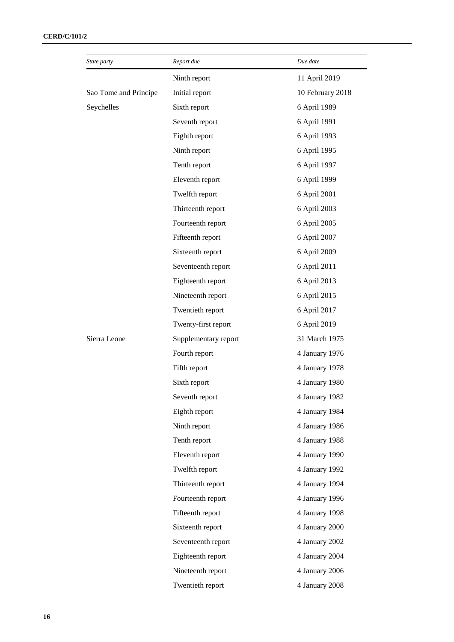| State party           | Report due           | Due date         |
|-----------------------|----------------------|------------------|
|                       | Ninth report         | 11 April 2019    |
| Sao Tome and Principe | Initial report       | 10 February 2018 |
| Seychelles            | Sixth report         | 6 April 1989     |
|                       | Seventh report       | 6 April 1991     |
|                       | Eighth report        | 6 April 1993     |
|                       | Ninth report         | 6 April 1995     |
|                       | Tenth report         | 6 April 1997     |
|                       | Eleventh report      | 6 April 1999     |
|                       | Twelfth report       | 6 April 2001     |
|                       | Thirteenth report    | 6 April 2003     |
|                       | Fourteenth report    | 6 April 2005     |
|                       | Fifteenth report     | 6 April 2007     |
|                       | Sixteenth report     | 6 April 2009     |
|                       | Seventeenth report   | 6 April 2011     |
|                       | Eighteenth report    | 6 April 2013     |
|                       | Nineteenth report    | 6 April 2015     |
|                       | Twentieth report     | 6 April 2017     |
|                       | Twenty-first report  | 6 April 2019     |
| Sierra Leone          | Supplementary report | 31 March 1975    |
|                       | Fourth report        | 4 January 1976   |
|                       | Fifth report         | 4 January 1978   |
|                       | Sixth report         | 4 January 1980   |
|                       | Seventh report       | 4 January 1982   |
|                       | Eighth report        | 4 January 1984   |
|                       | Ninth report         | 4 January 1986   |
|                       | Tenth report         | 4 January 1988   |
|                       | Eleventh report      | 4 January 1990   |
|                       | Twelfth report       | 4 January 1992   |
|                       | Thirteenth report    | 4 January 1994   |
|                       | Fourteenth report    | 4 January 1996   |
|                       | Fifteenth report     | 4 January 1998   |
|                       | Sixteenth report     | 4 January 2000   |
|                       | Seventeenth report   | 4 January 2002   |
|                       | Eighteenth report    | 4 January 2004   |
|                       | Nineteenth report    | 4 January 2006   |
|                       | Twentieth report     | 4 January 2008   |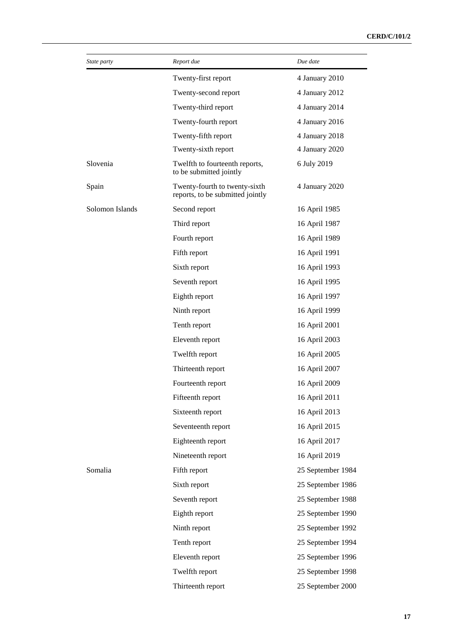| <i>State party</i> | Report due                                                        | Due date          |
|--------------------|-------------------------------------------------------------------|-------------------|
|                    | Twenty-first report                                               | 4 January 2010    |
|                    | Twenty-second report                                              | 4 January 2012    |
|                    | Twenty-third report                                               | 4 January 2014    |
|                    | Twenty-fourth report                                              | 4 January 2016    |
|                    | Twenty-fifth report                                               | 4 January 2018    |
|                    | Twenty-sixth report                                               | 4 January 2020    |
| Slovenia           | Twelfth to fourteenth reports,<br>to be submitted jointly         | 6 July 2019       |
| Spain              | Twenty-fourth to twenty-sixth<br>reports, to be submitted jointly | 4 January 2020    |
| Solomon Islands    | Second report                                                     | 16 April 1985     |
|                    | Third report                                                      | 16 April 1987     |
|                    | Fourth report                                                     | 16 April 1989     |
|                    | Fifth report                                                      | 16 April 1991     |
|                    | Sixth report                                                      | 16 April 1993     |
|                    | Seventh report                                                    | 16 April 1995     |
|                    | Eighth report                                                     | 16 April 1997     |
|                    | Ninth report                                                      | 16 April 1999     |
|                    | Tenth report                                                      | 16 April 2001     |
|                    | Eleventh report                                                   | 16 April 2003     |
|                    | Twelfth report                                                    | 16 April 2005     |
|                    | Thirteenth report                                                 | 16 April 2007     |
|                    | Fourteenth report                                                 | 16 April 2009     |
|                    | Fifteenth report                                                  | 16 April 2011     |
|                    | Sixteenth report                                                  | 16 April 2013     |
|                    | Seventeenth report                                                | 16 April 2015     |
|                    | Eighteenth report                                                 | 16 April 2017     |
|                    | Nineteenth report                                                 | 16 April 2019     |
| Somalia            | Fifth report                                                      | 25 September 1984 |
|                    | Sixth report                                                      | 25 September 1986 |
|                    | Seventh report                                                    | 25 September 1988 |
|                    | Eighth report                                                     | 25 September 1990 |
|                    | Ninth report                                                      | 25 September 1992 |
|                    | Tenth report                                                      | 25 September 1994 |
|                    | Eleventh report                                                   | 25 September 1996 |
|                    | Twelfth report                                                    | 25 September 1998 |
|                    | Thirteenth report                                                 | 25 September 2000 |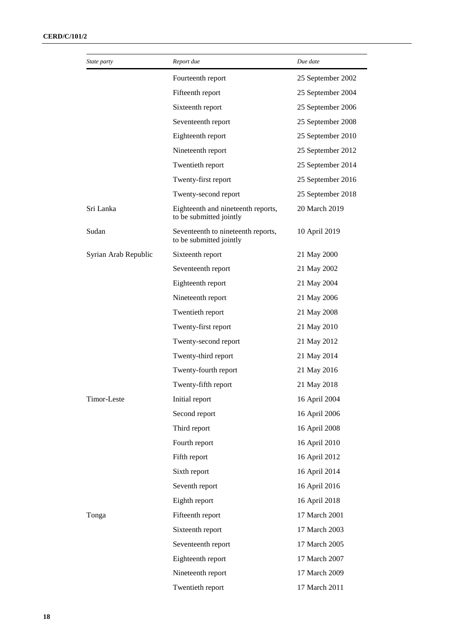| State party          | Report due                                                    | Due date          |
|----------------------|---------------------------------------------------------------|-------------------|
|                      | Fourteenth report                                             | 25 September 2002 |
|                      | Fifteenth report                                              | 25 September 2004 |
|                      | Sixteenth report                                              | 25 September 2006 |
|                      | Seventeenth report                                            | 25 September 2008 |
|                      | Eighteenth report                                             | 25 September 2010 |
|                      | Nineteenth report                                             | 25 September 2012 |
|                      | Twentieth report                                              | 25 September 2014 |
|                      | Twenty-first report                                           | 25 September 2016 |
|                      | Twenty-second report                                          | 25 September 2018 |
| Sri Lanka            | Eighteenth and nineteenth reports,<br>to be submitted jointly | 20 March 2019     |
| Sudan                | Seventeenth to nineteenth reports,<br>to be submitted jointly | 10 April 2019     |
| Syrian Arab Republic | Sixteenth report                                              | 21 May 2000       |
|                      | Seventeenth report                                            | 21 May 2002       |
|                      | Eighteenth report                                             | 21 May 2004       |
|                      | Nineteenth report                                             | 21 May 2006       |
|                      | Twentieth report                                              | 21 May 2008       |
|                      | Twenty-first report                                           | 21 May 2010       |
|                      | Twenty-second report                                          | 21 May 2012       |
|                      | Twenty-third report                                           | 21 May 2014       |
|                      | Twenty-fourth report                                          | 21 May 2016       |
|                      | Twenty-fifth report                                           | 21 May 2018       |
| Timor-Leste          | Initial report                                                | 16 April 2004     |
|                      | Second report                                                 | 16 April 2006     |
|                      | Third report                                                  | 16 April 2008     |
|                      | Fourth report                                                 | 16 April 2010     |
|                      | Fifth report                                                  | 16 April 2012     |
|                      | Sixth report                                                  | 16 April 2014     |
|                      | Seventh report                                                | 16 April 2016     |
|                      | Eighth report                                                 | 16 April 2018     |
| Tonga                | Fifteenth report                                              | 17 March 2001     |
|                      | Sixteenth report                                              | 17 March 2003     |
|                      | Seventeenth report                                            | 17 March 2005     |
|                      | Eighteenth report                                             | 17 March 2007     |
|                      | Nineteenth report                                             | 17 March 2009     |
|                      | Twentieth report                                              | 17 March 2011     |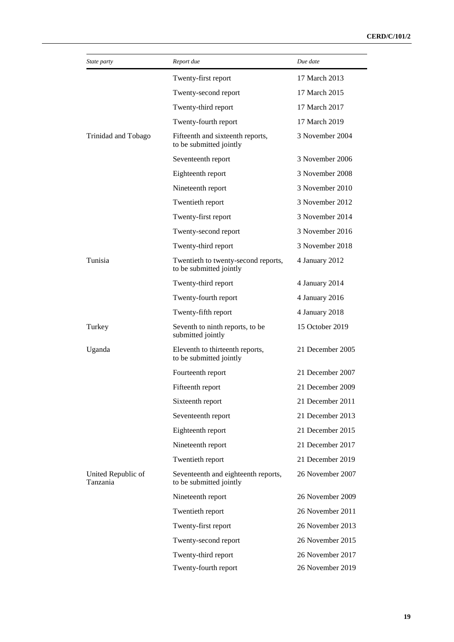| State party                    | Report due                                                     | Due date         |
|--------------------------------|----------------------------------------------------------------|------------------|
|                                | Twenty-first report                                            | 17 March 2013    |
|                                | Twenty-second report                                           | 17 March 2015    |
|                                | Twenty-third report                                            | 17 March 2017    |
|                                | Twenty-fourth report                                           | 17 March 2019    |
| Trinidad and Tobago            | Fifteenth and sixteenth reports,<br>to be submitted jointly    | 3 November 2004  |
|                                | Seventeenth report                                             | 3 November 2006  |
|                                | Eighteenth report                                              | 3 November 2008  |
|                                | Nineteenth report                                              | 3 November 2010  |
|                                | Twentieth report                                               | 3 November 2012  |
|                                | Twenty-first report                                            | 3 November 2014  |
|                                | Twenty-second report                                           | 3 November 2016  |
|                                | Twenty-third report                                            | 3 November 2018  |
| Tunisia                        | Twentieth to twenty-second reports,<br>to be submitted jointly | 4 January 2012   |
|                                | Twenty-third report                                            | 4 January 2014   |
|                                | Twenty-fourth report                                           | 4 January 2016   |
|                                | Twenty-fifth report                                            | 4 January 2018   |
| Turkey                         | Seventh to ninth reports, to be<br>submitted jointly           | 15 October 2019  |
| Uganda                         | Eleventh to thirteenth reports,<br>to be submitted jointly     | 21 December 2005 |
|                                | Fourteenth report                                              | 21 December 2007 |
|                                | Fifteenth report                                               | 21 December 2009 |
|                                | Sixteenth report                                               | 21 December 2011 |
|                                | Seventeenth report                                             | 21 December 2013 |
|                                | Eighteenth report                                              | 21 December 2015 |
|                                | Nineteenth report                                              | 21 December 2017 |
|                                | Twentieth report                                               | 21 December 2019 |
| United Republic of<br>Tanzania | Seventeenth and eighteenth reports,<br>to be submitted jointly | 26 November 2007 |
|                                | Nineteenth report                                              | 26 November 2009 |
|                                | Twentieth report                                               | 26 November 2011 |
|                                | Twenty-first report                                            | 26 November 2013 |
|                                | Twenty-second report                                           | 26 November 2015 |
|                                | Twenty-third report                                            | 26 November 2017 |
|                                | Twenty-fourth report                                           | 26 November 2019 |